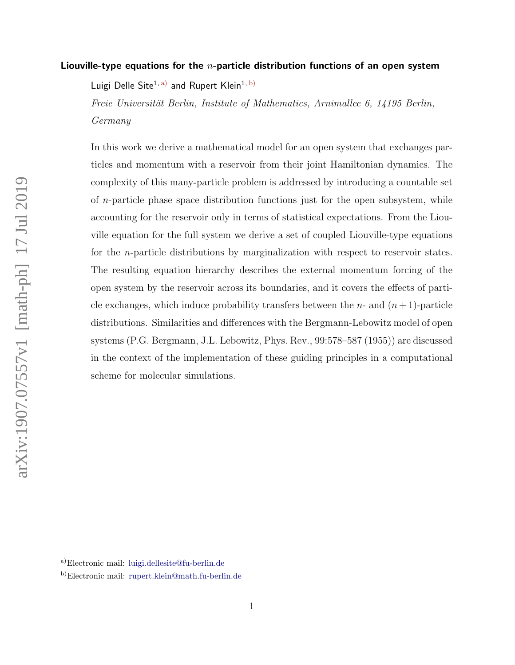## Liouville-type equations for the  $n$ -particle distribution functions of an open system

Luigi Delle Site<sup>1, [a\)](#page-0-0)</sup> and Rupert Klein<sup>1, [b\)](#page-0-1)</sup>

Freie Universität Berlin, Institute of Mathematics, Arnimallee 6, 14195 Berlin, Germany

In this work we derive a mathematical model for an open system that exchanges particles and momentum with a reservoir from their joint Hamiltonian dynamics. The complexity of this many-particle problem is addressed by introducing a countable set of n-particle phase space distribution functions just for the open subsystem, while accounting for the reservoir only in terms of statistical expectations. From the Liouville equation for the full system we derive a set of coupled Liouville-type equations for the n-particle distributions by marginalization with respect to reservoir states. The resulting equation hierarchy describes the external momentum forcing of the open system by the reservoir across its boundaries, and it covers the effects of particle exchanges, which induce probability transfers between the *n*- and  $(n+1)$ -particle distributions. Similarities and differences with the Bergmann-Lebowitz model of open systems (P.G. Bergmann, J.L. Lebowitz, Phys. Rev., 99:578–587 (1955)) are discussed in the context of the implementation of these guiding principles in a computational scheme for molecular simulations.

<span id="page-0-1"></span><span id="page-0-0"></span>a)Electronic mail: [luigi.dellesite@fu-berlin.de](mailto:luigi.dellesite@fu-berlin.de)

b)Electronic mail: [rupert.klein@math.fu-berlin.de](mailto:rupert.klein@math.fu-berlin.de)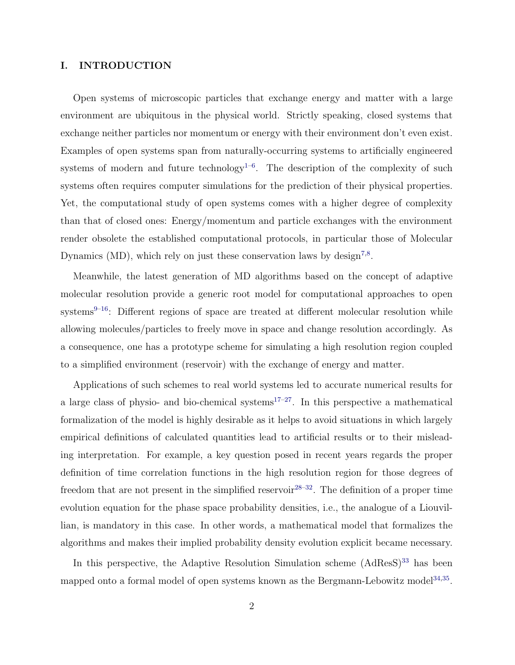## I. INTRODUCTION

Open systems of microscopic particles that exchange energy and matter with a large environment are ubiquitous in the physical world. Strictly speaking, closed systems that exchange neither particles nor momentum or energy with their environment don't even exist. Examples of open systems span from naturally-occurring systems to artificially engineered systems of modern and future technology<sup> $1-6$  $1-6$ </sup>. The description of the complexity of such systems often requires computer simulations for the prediction of their physical properties. Yet, the computational study of open systems comes with a higher degree of complexity than that of closed ones: Energy/momentum and particle exchanges with the environment render obsolete the established computational protocols, in particular those of Molecular Dynamics (MD), which rely on just these conservation laws by design<sup>[7,](#page-18-2)[8](#page-19-0)</sup>.

Meanwhile, the latest generation of MD algorithms based on the concept of adaptive molecular resolution provide a generic root model for computational approaches to open systems $9-16$  $9-16$ : Different regions of space are treated at different molecular resolution while allowing molecules/particles to freely move in space and change resolution accordingly. As a consequence, one has a prototype scheme for simulating a high resolution region coupled to a simplified environment (reservoir) with the exchange of energy and matter.

Applications of such schemes to real world systems led to accurate numerical results for a large class of physio- and bio-chemical systems<sup>[17](#page-19-3)[–27](#page-20-0)</sup>. In this perspective a mathematical formalization of the model is highly desirable as it helps to avoid situations in which largely empirical definitions of calculated quantities lead to artificial results or to their misleading interpretation. For example, a key question posed in recent years regards the proper definition of time correlation functions in the high resolution region for those degrees of freedom that are not present in the simplified reservoir  $28-32$  $28-32$ . The definition of a proper time evolution equation for the phase space probability densities, i.e., the analogue of a Liouvillian, is mandatory in this case. In other words, a mathematical model that formalizes the algorithms and makes their implied probability density evolution explicit became necessary.

In this perspective, the Adaptive Resolution Simulation scheme  $(AdResS)^{33}$  $(AdResS)^{33}$  $(AdResS)^{33}$  has been mapped onto a formal model of open systems known as the Bergmann-Lebowitz model<sup>[34,](#page-21-1)[35](#page-21-2)</sup>.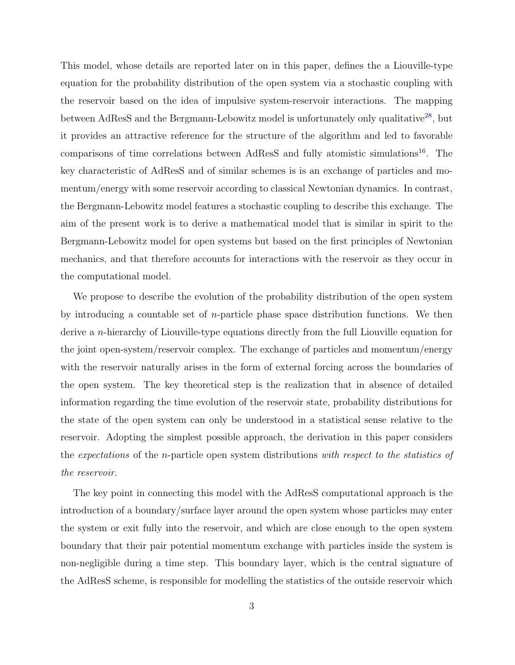This model, whose details are reported later on in this paper, defines the a Liouville-type equation for the probability distribution of the open system via a stochastic coupling with the reservoir based on the idea of impulsive system-reservoir interactions. The mapping between AdResS and the Bergmann-Lebowitz model is unfortunately only qualitative<sup>[28](#page-20-1)</sup>, but it provides an attractive reference for the structure of the algorithm and led to favorable comparisons of time correlations between AdResS and fully atomistic simulations<sup>[16](#page-19-2)</sup>. The key characteristic of AdResS and of similar schemes is is an exchange of particles and momentum/energy with some reservoir according to classical Newtonian dynamics. In contrast, the Bergmann-Lebowitz model features a stochastic coupling to describe this exchange. The aim of the present work is to derive a mathematical model that is similar in spirit to the Bergmann-Lebowitz model for open systems but based on the first principles of Newtonian mechanics, and that therefore accounts for interactions with the reservoir as they occur in the computational model.

We propose to describe the evolution of the probability distribution of the open system by introducing a countable set of *n*-particle phase space distribution functions. We then derive a n-hierarchy of Liouville-type equations directly from the full Liouville equation for the joint open-system/reservoir complex. The exchange of particles and momentum/energy with the reservoir naturally arises in the form of external forcing across the boundaries of the open system. The key theoretical step is the realization that in absence of detailed information regarding the time evolution of the reservoir state, probability distributions for the state of the open system can only be understood in a statistical sense relative to the reservoir. Adopting the simplest possible approach, the derivation in this paper considers the expectations of the n-particle open system distributions with respect to the statistics of the reservoir.

The key point in connecting this model with the AdResS computational approach is the introduction of a boundary/surface layer around the open system whose particles may enter the system or exit fully into the reservoir, and which are close enough to the open system boundary that their pair potential momentum exchange with particles inside the system is non-negligible during a time step. This boundary layer, which is the central signature of the AdResS scheme, is responsible for modelling the statistics of the outside reservoir which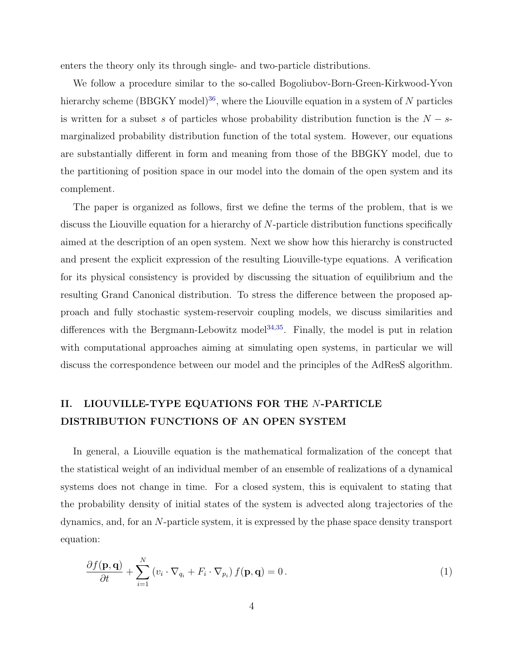enters the theory only its through single- and two-particle distributions.

We follow a procedure similar to the so-called Bogoliubov-Born-Green-Kirkwood-Yvon hierarchy scheme (BBGKY model)<sup>[36](#page-21-3)</sup>, where the Liouville equation in a system of N particles is written for a subset s of particles whose probability distribution function is the  $N - s$ marginalized probability distribution function of the total system. However, our equations are substantially different in form and meaning from those of the BBGKY model, due to the partitioning of position space in our model into the domain of the open system and its complement.

The paper is organized as follows, first we define the terms of the problem, that is we discuss the Liouville equation for a hierarchy of N-particle distribution functions specifically aimed at the description of an open system. Next we show how this hierarchy is constructed and present the explicit expression of the resulting Liouville-type equations. A verification for its physical consistency is provided by discussing the situation of equilibrium and the resulting Grand Canonical distribution. To stress the difference between the proposed approach and fully stochastic system-reservoir coupling models, we discuss similarities and differences with the Bergmann-Lebowitz model<sup>[34](#page-21-1)[,35](#page-21-2)</sup>. Finally, the model is put in relation with computational approaches aiming at simulating open systems, in particular we will discuss the correspondence between our model and the principles of the AdResS algorithm.

# <span id="page-3-1"></span>II. LIOUVILLE-TYPE EQUATIONS FOR THE N-PARTICLE DISTRIBUTION FUNCTIONS OF AN OPEN SYSTEM

In general, a Liouville equation is the mathematical formalization of the concept that the statistical weight of an individual member of an ensemble of realizations of a dynamical systems does not change in time. For a closed system, this is equivalent to stating that the probability density of initial states of the system is advected along trajectories of the dynamics, and, for an N-particle system, it is expressed by the phase space density transport equation:

<span id="page-3-0"></span>
$$
\frac{\partial f(\mathbf{p}, \mathbf{q})}{\partial t} + \sum_{i=1}^{N} \left( v_i \cdot \nabla_{q_i} + F_i \cdot \nabla_{p_i} \right) f(\mathbf{p}, \mathbf{q}) = 0.
$$
\n(1)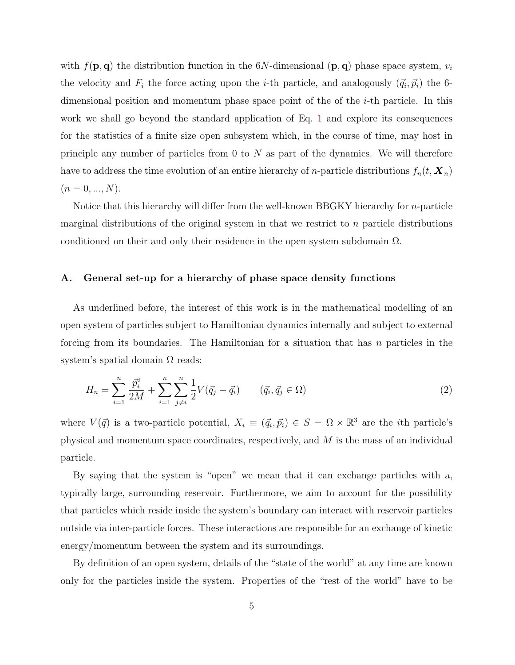with  $f(\mathbf{p}, \mathbf{q})$  the distribution function in the 6N-dimensional  $(\mathbf{p}, \mathbf{q})$  phase space system,  $v_i$ the velocity and  $F_i$  the force acting upon the *i*-th particle, and analogously  $(\vec{q}_i, \vec{p}_i)$  the 6dimensional position and momentum phase space point of the of the  $i$ -th particle. In this work we shall go beyond the standard application of Eq. [1](#page-3-0) and explore its consequences for the statistics of a finite size open subsystem which, in the course of time, may host in principle any number of particles from  $0$  to  $N$  as part of the dynamics. We will therefore have to address the time evolution of an entire hierarchy of *n*-particle distributions  $f_n(t, X_n)$  $(n = 0, ..., N).$ 

Notice that this hierarchy will differ from the well-known BBGKY hierarchy for  $n$ -particle marginal distributions of the original system in that we restrict to  $n$  particle distributions conditioned on their and only their residence in the open system subdomain  $\Omega$ .

#### A. General set-up for a hierarchy of phase space density functions

As underlined before, the interest of this work is in the mathematical modelling of an open system of particles subject to Hamiltonian dynamics internally and subject to external forcing from its boundaries. The Hamiltonian for a situation that has  $n$  particles in the system's spatial domain  $\Omega$  reads:

$$
H_n = \sum_{i=1}^n \frac{\vec{p}_i^2}{2M} + \sum_{i=1}^n \sum_{j \neq i}^n \frac{1}{2} V(\vec{q}_j - \vec{q}_i) \qquad (\vec{q}_i, \vec{q}_j \in \Omega)
$$
 (2)

where  $V(\vec{q})$  is a two-particle potential,  $X_i \equiv (\vec{q}_i, \vec{p}_i) \in S = \Omega \times \mathbb{R}^3$  are the *i*th particle's physical and momentum space coordinates, respectively, and M is the mass of an individual particle.

By saying that the system is "open" we mean that it can exchange particles with a, typically large, surrounding reservoir. Furthermore, we aim to account for the possibility that particles which reside inside the system's boundary can interact with reservoir particles outside via inter-particle forces. These interactions are responsible for an exchange of kinetic energy/momentum between the system and its surroundings.

By definition of an open system, details of the "state of the world" at any time are known only for the particles inside the system. Properties of the "rest of the world" have to be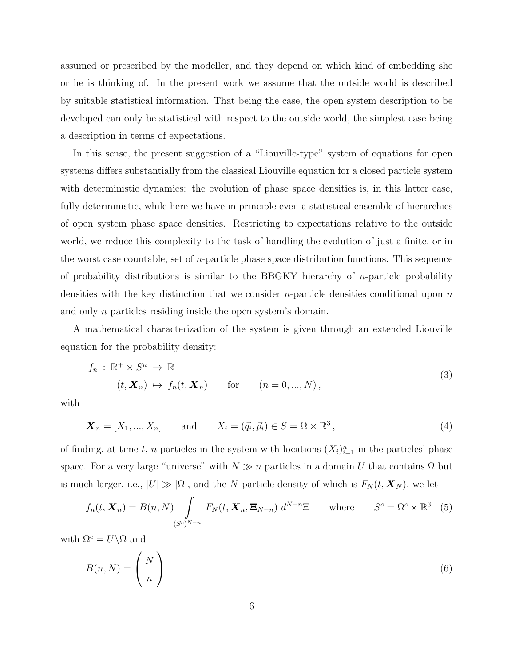assumed or prescribed by the modeller, and they depend on which kind of embedding she or he is thinking of. In the present work we assume that the outside world is described by suitable statistical information. That being the case, the open system description to be developed can only be statistical with respect to the outside world, the simplest case being a description in terms of expectations.

In this sense, the present suggestion of a "Liouville-type" system of equations for open systems differs substantially from the classical Liouville equation for a closed particle system with deterministic dynamics: the evolution of phase space densities is, in this latter case, fully deterministic, while here we have in principle even a statistical ensemble of hierarchies of open system phase space densities. Restricting to expectations relative to the outside world, we reduce this complexity to the task of handling the evolution of just a finite, or in the worst case countable, set of n-particle phase space distribution functions. This sequence of probability distributions is similar to the BBGKY hierarchy of  $n$ -particle probability densities with the key distinction that we consider *n*-particle densities conditional upon *n* and only *n* particles residing inside the open system's domain.

A mathematical characterization of the system is given through an extended Liouville equation for the probability density:

<span id="page-5-0"></span>
$$
f_n: \mathbb{R}^+ \times S^n \to \mathbb{R}
$$
  
\n
$$
(t, \mathbf{X}_n) \mapsto f_n(t, \mathbf{X}_n) \quad \text{for} \quad (n = 0, ..., N),
$$
\n(3)

with

$$
\mathbf{X}_n = [X_1, ..., X_n]
$$
 and  $X_i = (\vec{q}_i, \vec{p}_i) \in S = \Omega \times \mathbb{R}^3$ , (4)

of finding, at time t, n particles in the system with locations  $(X_i)_{i=1}^n$  in the particles' phase space. For a very large "universe" with  $N \gg n$  particles in a domain U that contains  $\Omega$  but is much larger, i.e.,  $|U| \gg |\Omega|$ , and the N-particle density of which is  $F_N(t, \mathbf{X}_N)$ , we let

<span id="page-5-1"></span>
$$
f_n(t, \mathbf{X}_n) = B(n, N) \int_{(S^c)^{N-n}} F_N(t, \mathbf{X}_n, \Xi_{N-n}) d^{N-n} \Xi \quad \text{where} \quad S^c = \Omega^c \times \mathbb{R}^3 \quad (5)
$$

with  $\Omega^c = U \backslash \Omega$  and

$$
B(n,N) = \binom{N}{n} \,. \tag{6}
$$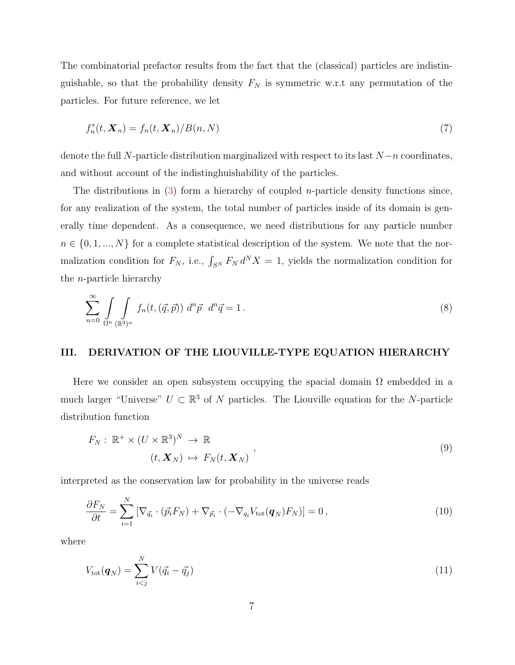The combinatorial prefactor results from the fact that the (classical) particles are indistinguishable, so that the probability density  $F_N$  is symmetric w.r.t any permutation of the particles. For future reference, we let

<span id="page-6-2"></span>
$$
f_n^*(t, \mathbf{X}_n) = f_n(t, \mathbf{X}_n) / B(n, N)
$$
\n<sup>(7)</sup>

denote the full N-particle distribution marginalized with respect to its last  $N-n$  coordinates, and without account of the indistinghuishability of the particles.

The distributions in  $(3)$  form a hierarchy of coupled *n*-particle density functions since, for any realization of the system, the total number of particles inside of its domain is generally time dependent. As a consequence, we need distributions for any particle number  $n \in \{0, 1, ..., N\}$  for a complete statistical description of the system. We note that the normalization condition for  $F_N$ , i.e.,  $\int_{S^N} F_N d^N X = 1$ , yields the normalization condition for the n-particle hierarchy

$$
\sum_{n=0}^{\infty} \int \int \int \int \int f_n(t,(\vec{q},\vec{p})) d^n \vec{p} d^n \vec{q} = 1.
$$
\n(8)

## III. DERIVATION OF THE LIOUVILLE-TYPE EQUATION HIERARCHY

Here we consider an open subsystem occupying the spacial domain  $\Omega$  embedded in a much larger "Universe"  $U \subset \mathbb{R}^3$  of N particles. The Liouville equation for the N-particle distribution function

<span id="page-6-0"></span>
$$
F_N: \mathbb{R}^+ \times (U \times \mathbb{R}^3)^N \to \mathbb{R}
$$
  

$$
(t, \mathbf{X}_N) \mapsto F_N(t, \mathbf{X}_N)
$$
 (9)

interpreted as the conservation law for probability in the universe reads

$$
\frac{\partial F_N}{\partial t} = \sum_{i=1}^N \left[ \nabla_{\vec{q}_i} \cdot (\vec{p}_i F_N) + \nabla_{\vec{p}_i} \cdot (-\nabla_{q_i} V_{\text{tot}}(\boldsymbol{q}_N) F_N) \right] = 0, \qquad (10)
$$

where

<span id="page-6-1"></span>
$$
V_{\text{tot}}(\boldsymbol{q}_N) = \sum_{i < j}^{N} V(\vec{q}_i - \vec{q}_j) \tag{11}
$$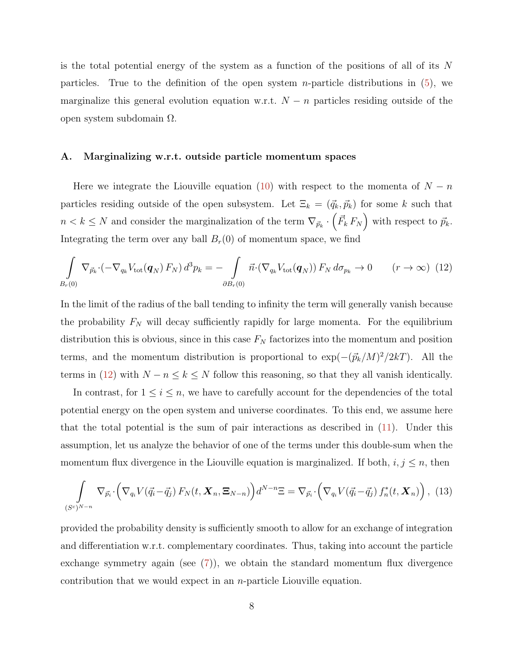is the total potential energy of the system as a function of the positions of all of its  $N$ particles. True to the definition of the open system *n*-particle distributions in  $(5)$ , we marginalize this general evolution equation w.r.t.  $N - n$  particles residing outside of the open system subdomain Ω.

#### A. Marginalizing w.r.t. outside particle momentum spaces

Here we integrate the Liouville equation [\(10\)](#page-6-0) with respect to the momenta of  $N - n$ particles residing outside of the open subsystem. Let  $\Xi_k = (\vec{q}_k, \vec{p}_k)$  for some k such that  $n < k \leq N$  and consider the marginalization of the term  $\nabla_{\vec{p}_k} \cdot (\vec{F}_k F_N)$  with respect to  $\vec{p}_k$ . Integrating the term over any ball  $B<sub>r</sub>(0)$  of momentum space, we find

<span id="page-7-0"></span>
$$
\int_{B_r(0)} \nabla_{\vec{p}_k} \cdot (-\nabla_{q_k} V_{\text{tot}}(\boldsymbol{q}_N) F_N) d^3 p_k = -\int_{\partial B_r(0)} \vec{n} \cdot (\nabla_{q_k} V_{\text{tot}}(\boldsymbol{q}_N)) F_N d\sigma_{p_k} \to 0 \qquad (r \to \infty)
$$
 (12)

In the limit of the radius of the ball tending to infinity the term will generally vanish because the probability  $F_N$  will decay sufficiently rapidly for large momenta. For the equilibrium distribution this is obvious, since in this case  $F_N$  factorizes into the momentum and position terms, and the momentum distribution is proportional to  $\exp(-(\vec{p}_k/M)^2/2kT)$ . All the terms in [\(12\)](#page-7-0) with  $N - n \leq k \leq N$  follow this reasoning, so that they all vanish identically.

In contrast, for  $1 \leq i \leq n$ , we have to carefully account for the dependencies of the total potential energy on the open system and universe coordinates. To this end, we assume here that the total potential is the sum of pair interactions as described in [\(11\)](#page-6-1). Under this assumption, let us analyze the behavior of one of the terms under this double-sum when the momentum flux divergence in the Liouville equation is marginalized. If both,  $i, j \leq n$ , then

$$
\int_{(S^c)^{N-n}} \nabla_{\vec{p}_i} \cdot \left( \nabla_{q_i} V(\vec{q}_i - \vec{q}_j) F_N(t, \mathbf{X}_n, \mathbf{\Xi}_{N-n}) \right) d^{N-n} \Xi = \nabla_{\vec{p}_i} \cdot \left( \nabla_{q_i} V(\vec{q}_i - \vec{q}_j) f_n^*(t, \mathbf{X}_n) \right), \tag{13}
$$

provided the probability density is sufficiently smooth to allow for an exchange of integration and differentiation w.r.t. complementary coordinates. Thus, taking into account the particle exchange symmetry again (see  $(7)$ ), we obtain the standard momentum flux divergence contribution that we would expect in an  $n$ -particle Liouville equation.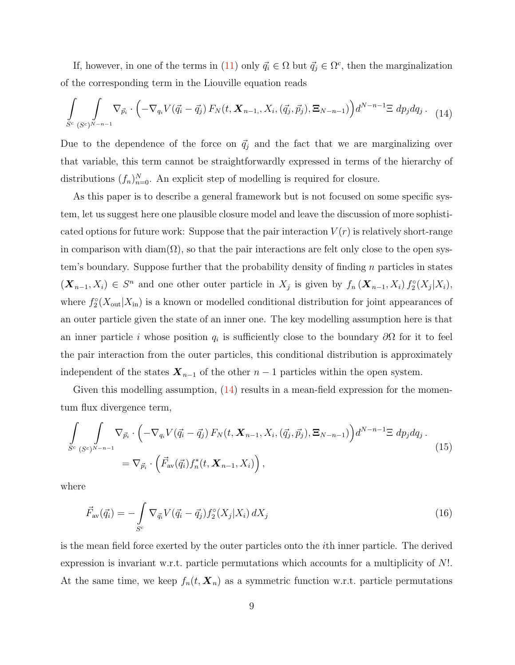If, however, in one of the terms in [\(11\)](#page-6-1) only  $\vec{q}_i \in \Omega$  but  $\vec{q}_j \in \Omega^c$ , then the marginalization of the corresponding term in the Liouville equation reads

<span id="page-8-0"></span>
$$
\int_{S^c} \int_{(S^c)^{N-n-1}} \nabla_{\vec{p}_i} \cdot \left( -\nabla_{q_i} V(\vec{q}_i - \vec{q}_j) \, F_N(t, \mathbf{X}_{n-1,}, X_i, (\vec{q}_j, \vec{p}_j), \mathbf{\Xi}_{N-n-1}) \right) d^{N-n-1} \Xi \, dp_j dq_j. \tag{14}
$$

Due to the dependence of the force on  $\vec{q}_j$  and the fact that we are marginalizing over that variable, this term cannot be straightforwardly expressed in terms of the hierarchy of distributions  $(f_n)_{n=0}^N$ . An explicit step of modelling is required for closure.

As this paper is to describe a general framework but is not focused on some specific system, let us suggest here one plausible closure model and leave the discussion of more sophisticated options for future work: Suppose that the pair interaction  $V(r)$  is relatively short-range in comparison with diam( $\Omega$ ), so that the pair interactions are felt only close to the open system's boundary. Suppose further that the probability density of finding n particles in states  $(X_{n-1}, X_i) \in S^n$  and one other outer particle in  $X_j$  is given by  $f_n(X_{n-1}, X_i) f_2^{\circ}(X_j | X_i)$ , where  $f_2^{\circ}(X_{\text{out}}|X_{\text{in}})$  is a known or modelled conditional distribution for joint appearances of an outer particle given the state of an inner one. The key modelling assumption here is that an inner particle *i* whose position  $q_i$  is sufficiently close to the boundary  $\partial\Omega$  for it to feel the pair interaction from the outer particles, this conditional distribution is approximately independent of the states  $\mathbf{X}_{n-1}$  of the other  $n-1$  particles within the open system.

Given this modelling assumption,  $(14)$  results in a mean-field expression for the momentum flux divergence term,

<span id="page-8-1"></span>
$$
\int_{S^c} \int_{(S^c)^{N-n-1}} \nabla_{\vec{p}_i} \cdot \left( -\nabla_{q_i} V(\vec{q}_i - \vec{q}_j) F_N(t, \mathbf{X}_{n-1}, X_i, (\vec{q}_j, \vec{p}_j), \mathbf{\Xi}_{N-n-1}) \right) d^{N-n-1} \Xi \, dp_j dq_j.
$$
\n
$$
= \nabla_{\vec{p}_i} \cdot \left( \vec{F}_{av}(\vec{q}_i) f_n^*(t, \mathbf{X}_{n-1}, X_i) \right),
$$
\n(15)

where

$$
\vec{F}_{\text{av}}(\vec{q_i}) = -\int_{S^c} \nabla_{\vec{q_i}} V(\vec{q_i} - \vec{q_j}) f_2^{\circ}(X_j | X_i) dX_j \tag{16}
$$

is the mean field force exerted by the outer particles onto the ith inner particle. The derived expression is invariant w.r.t. particle permutations which accounts for a multiplicity of N!. At the same time, we keep  $f_n(t, \mathbf{X}_n)$  as a symmetric function w.r.t. particle permutations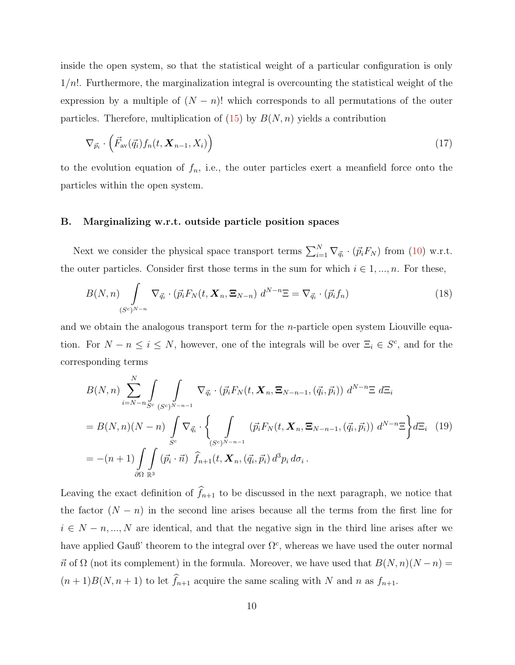inside the open system, so that the statistical weight of a particular configuration is only  $1/n!$ . Furthermore, the marginalization integral is overcounting the statistical weight of the expression by a multiple of  $(N - n)!$  which corresponds to all permutations of the outer particles. Therefore, multiplication of  $(15)$  by  $B(N,n)$  yields a contribution

$$
\nabla_{\vec{p}_i} \cdot \left( \vec{F}_{\text{av}}(\vec{q}_i) f_n(t, \mathbf{X}_{n-1}, X_i) \right) \tag{17}
$$

to the evolution equation of  $f_n$ , i.e., the outer particles exert a meanfield force onto the particles within the open system.

#### B. Marginalizing w.r.t. outside particle position spaces

Next we consider the physical space transport terms  $\sum_{i=1}^{N} \nabla_{\vec{q}_i} \cdot (\vec{p}_i F_N)$  from [\(10\)](#page-6-0) w.r.t. the outer particles. Consider first those terms in the sum for which  $i \in 1, ..., n$ . For these,

$$
B(N,n)\int\limits_{(S^c)^{N-n}}\nabla_{\vec{q}_i}\cdot(\vec{p}_iF_N(t,\mathbf{X}_n,\mathbf{\Xi}_{N-n})\,d^{N-n}\Xi=\nabla_{\vec{q}_i}\cdot(\vec{p}_if_n)\tag{18}
$$

and we obtain the analogous transport term for the *n*-particle open system Liouville equation. For  $N - n \leq i \leq N$ , however, one of the integrals will be over  $\Xi_i \in S^c$ , and for the corresponding terms

$$
B(N,n) \sum_{i=N-n}^{N} \int \int \nabla_{\vec{q}_i} \cdot (\vec{p}_i F_N(t, \mathbf{X}_n, \mathbf{E}_{N-n-1}, (\vec{q}_i, \vec{p}_i)) d^{N-n} \mathbf{E} d\mathbf{E}_i
$$
  
\n
$$
= B(N,n)(N-n) \int \nabla_{\vec{q}_i} \cdot \left\{ \int \nabla_{\vec{q}_i} (\vec{p}_i F_N(t, \mathbf{X}_n, \mathbf{E}_{N-n-1}, (\vec{q}_i, \vec{p}_i)) d^{N-n} \mathbf{E} \right\} d\mathbf{E}_i
$$
(19)  
\n
$$
= -(n+1) \int \nabla_{\vec{q}_i} (\vec{p}_i \cdot \vec{n}) \hat{f}_{n+1}(t, \mathbf{X}_n, (\vec{q}_i, \vec{p}_i)) d^3 p_i d\sigma_i.
$$

Leaving the exact definition of  $\widehat{f}_{n+1}$  to be discussed in the next paragraph, we notice that the factor  $(N - n)$  in the second line arises because all the terms from the first line for  $i \in N - n, ..., N$  are identical, and that the negative sign in the third line arises after we have applied Gauß' theorem to the integral over  $\Omega^c$ , whereas we have used the outer normal  $\vec{n}$  of  $\Omega$  (not its complement) in the formula. Moreover, we have used that  $B(N,n)(N-n) =$  $(n+1)B(N, n+1)$  to let  $\widehat{f}_{n+1}$  acquire the same scaling with N and n as  $f_{n+1}$ .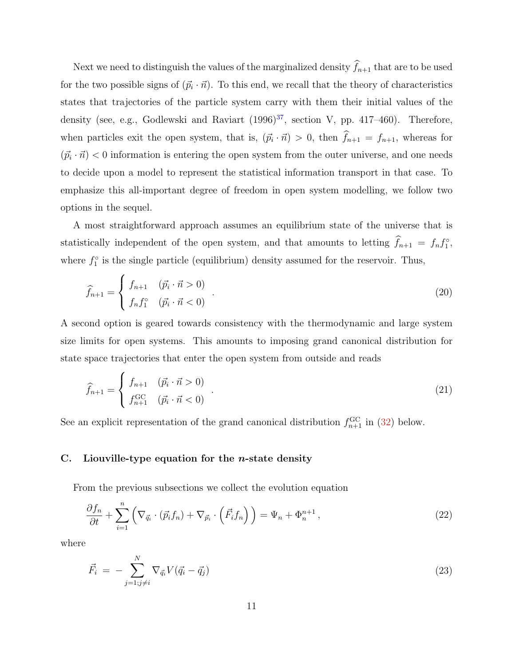Next we need to distinguish the values of the marginalized density  $\hat{f}_{n+1}$  that are to be used for the two possible signs of  $(\vec{p}_i \cdot \vec{n})$ . To this end, we recall that the theory of characteristics states that trajectories of the particle system carry with them their initial values of the density (see, e.g., Godlewski and Raviart  $(1996)^{37}$  $(1996)^{37}$  $(1996)^{37}$ , section V, pp. 417-460). Therefore, when particles exit the open system, that is,  $(\vec{p}_i \cdot \vec{n}) > 0$ , then  $f_{n+1} = f_{n+1}$ , whereas for  $(\vec{p}_i \cdot \vec{n}) < 0$  information is entering the open system from the outer universe, and one needs to decide upon a model to represent the statistical information transport in that case. To emphasize this all-important degree of freedom in open system modelling, we follow two options in the sequel.

A most straightforward approach assumes an equilibrium state of the universe that is statistically independent of the open system, and that amounts to letting  $\hat{f}_{n+1} = f_n f_1^{\circ}$ , where  $f_1^{\circ}$  is the single particle (equilibrium) density assumed for the reservoir. Thus,

<span id="page-10-2"></span>
$$
\widehat{f}_{n+1} = \begin{cases} f_{n+1} & (\vec{p}_i \cdot \vec{n} > 0) \\ f_n f_1^\circ & (\vec{p}_i \cdot \vec{n} < 0) \end{cases} . \tag{20}
$$

A second option is geared towards consistency with the thermodynamic and large system size limits for open systems. This amounts to imposing grand canonical distribution for state space trajectories that enter the open system from outside and reads

<span id="page-10-1"></span>
$$
\hat{f}_{n+1} = \begin{cases} f_{n+1} & (\vec{p}_i \cdot \vec{n} > 0) \\ f_{n+1}^{\text{GC}} & (\vec{p}_i \cdot \vec{n} < 0) \end{cases} . \tag{21}
$$

See an explicit representation of the grand canonical distribution  $f_{n+1}^{\text{GC}}$  in [\(32\)](#page-12-0) below.

#### C. Liouville-type equation for the *n*-state density

From the previous subsections we collect the evolution equation

<span id="page-10-0"></span>
$$
\frac{\partial f_n}{\partial t} + \sum_{i=1}^n \left( \nabla_{\vec{q}_i} \cdot (\vec{p}_i f_n) + \nabla_{\vec{p}_i} \cdot (\vec{F}_i f_n) \right) = \Psi_n + \Phi_n^{n+1},\tag{22}
$$

where

$$
\vec{F}_i = -\sum_{j=1;j\neq i}^N \nabla_{\vec{q}_i} V(\vec{q}_i - \vec{q}_j) \tag{23}
$$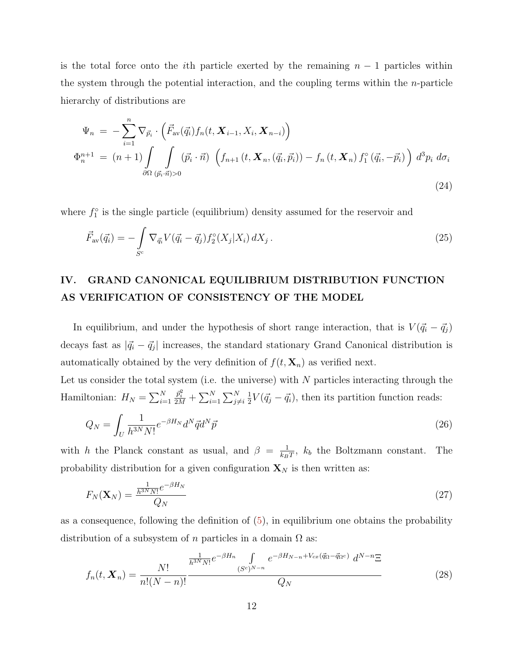is the total force onto the *i*th particle exerted by the remaining  $n - 1$  particles within the system through the potential interaction, and the coupling terms within the  $n$ -particle hierarchy of distributions are

$$
\Psi_n = -\sum_{i=1}^n \nabla_{\vec{p}_i} \cdot \left( \vec{F}_{\text{av}}(\vec{q}_i) f_n(t, \mathbf{X}_{i-1}, X_i, \mathbf{X}_{n-i}) \right)
$$
  
\n
$$
\Phi_n^{n+1} = (n+1) \int \int \int \left( \vec{p}_i \cdot \vec{n} \right) \left( f_{n+1}(t, \mathbf{X}_n, (\vec{q}_i, \vec{p}_i)) - f_n(t, \mathbf{X}_n) f_1^{\circ}(\vec{q}_i, -\vec{p}_i) \right) d^3 p_i d\sigma_i
$$
  
\n
$$
\partial \Omega (\vec{p}_i \cdot \vec{n}) > 0
$$
\n(24)

where  $f_1^{\circ}$  is the single particle (equilibrium) density assumed for the reservoir and

$$
\vec{F}_{\text{av}}(\vec{q_i}) = -\int_{S^c} \nabla_{\vec{q_i}} V(\vec{q_i} - \vec{q_j}) f_2^{\circ}(X_j | X_i) \, dX_j \,. \tag{25}
$$

# IV. GRAND CANONICAL EQUILIBRIUM DISTRIBUTION FUNCTION AS VERIFICATION OF CONSISTENCY OF THE MODEL

In equilibrium, and under the hypothesis of short range interaction, that is  $V(\vec{q_i} - \vec{q_j})$ decays fast as  $|\vec{q}_i - \vec{q}_j|$  increases, the standard stationary Grand Canonical distribution is automatically obtained by the very definition of  $f(t, \mathbf{X}_n)$  as verified next.

Let us consider the total system (i.e. the universe) with  $N$  particles interacting through the Hamiltonian:  $H_N = \sum_{i=1}^N$  $\frac{\bar{p}_i^2}{2M} + \sum_{i=1}^N \sum_{j \neq i}^N$ 1  $\frac{1}{2}V(\vec{q}_j - \vec{q}_i)$ , then its partition function reads:

$$
Q_N = \int_U \frac{1}{h^{3N} N!} e^{-\beta H_N} d^N \vec{q} d^N \vec{p}
$$
\n
$$
\tag{26}
$$

with h the Planck constant as usual, and  $\beta = \frac{1}{k_B}$  $\frac{1}{k_B T}$ ,  $k_b$  the Boltzmann constant. The probability distribution for a given configuration  $\mathbf{X}_N$  is then written as:

$$
F_N(\mathbf{X}_N) = \frac{\frac{1}{h^{3N}N!}e^{-\beta H_N}}{Q_N} \tag{27}
$$

as a consequence, following the definition of  $(5)$ , in equilibrium one obtains the probability distribution of a subsystem of n particles in a domain  $\Omega$  as:

<span id="page-11-0"></span>
$$
f_n(t, \mathbf{X}_n) = \frac{N!}{n!(N-n)!} \frac{\frac{1}{h^{3N}N!} e^{-\beta H_n} \int_{(S^c)^{N-n}} e^{-\beta H_{N-n} + V_{cx}(\vec{q}_{\Omega} - \vec{q}_{\Omega^c})} d^{N-n} \Xi}{Q_N}
$$
(28)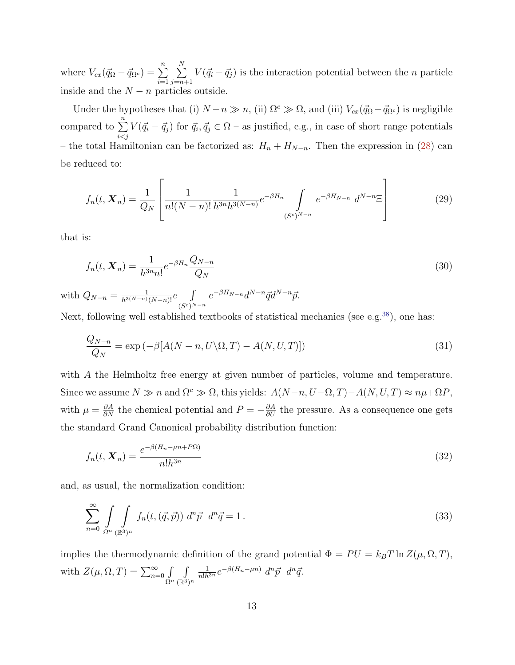where  $V_{cx}(\vec{q}_{\Omega} - \vec{q}_{\Omega^c}) = \sum_{n=0}^{n}$  $i=1$  $\sum_{i=1}^{N}$  $j=n+1$  $V(\vec{q}_i - \vec{q}_j)$  is the interaction potential between the *n* particle inside and the  $N - n$  particles outside.

Under the hypotheses that (i)  $N - n \gg n$ , (ii)  $\Omega^c \gg \Omega$ , and (iii)  $V_{cx}(\vec{q}_\Omega - \vec{q}_{\Omega^c})$  is negligible compared to  $\sum_{n=1}^{\infty}$  $i < j$  $V(\vec{q}_i - \vec{q}_j)$  for  $\vec{q}_i, \vec{q}_j \in \Omega$  – as justified, e.g., in case of short range potentials – the total Hamiltonian can be factorized as:  $H_n + H_{N-n}$ . Then the expression in [\(28\)](#page-11-0) can be reduced to:

$$
f_n(t, \mathbf{X}_n) = \frac{1}{Q_N} \left[ \frac{1}{n!(N-n)!} \frac{1}{h^{3n}h^{3(N-n)}} e^{-\beta H_n} \int_{(S^c)^{N-n}} e^{-\beta H_{N-n}} d^{N-n} \Xi \right]
$$
(29)

that is:

$$
f_n(t, \mathbf{X}_n) = \frac{1}{h^{3n} n!} e^{-\beta H_n} \frac{Q_{N-n}}{Q_N}
$$
\n
$$
(30)
$$

with  $Q_{N-n} = \frac{1}{h^{3(N-n)}(N-n)!}e$   $\int$  $(S^c)^{N-n}$  $e^{-\beta H_{N-n}}d^{N-n}\vec{q}d^{N-n}\vec{p}.$ 

Next, following well established textbooks of statistical mechanics (see e.g.<sup>[38](#page-21-5)</sup>), one has:

$$
\frac{Q_{N-n}}{Q_N} = \exp\left(-\beta[A(N-n, U\backslash\Omega, T) - A(N, U, T)]\right)
$$
\n(31)

with A the Helmholtz free energy at given number of particles, volume and temperature. Since we assume  $N \gg n$  and  $\Omega^c \gg \Omega$ , this yields:  $A(N-n, U-\Omega, T)-A(N, U, T) \approx n\mu + \Omega P$ , with  $\mu = \frac{\partial A}{\partial N}$  the chemical potential and  $P = -\frac{\partial A}{\partial U}$  the pressure. As a consequence one gets the standard Grand Canonical probability distribution function:

<span id="page-12-0"></span>
$$
f_n(t, \mathbf{X}_n) = \frac{e^{-\beta(H_n - \mu n + P\Omega)}}{n! h^{3n}} \tag{32}
$$

and, as usual, the normalization condition:

$$
\sum_{n=0}^{\infty} \int \int \int \int \int f_n(t,(\vec{q},\vec{p})) d^n \vec{p} d^n \vec{q} = 1.
$$
\n(33)

implies the thermodynamic definition of the grand potential  $\Phi = PU = k_BT \ln Z(\mu, \Omega, T)$ , with  $Z(\mu, \Omega, T) = \sum_{n=0}^{\infty} \int_{\Omega^n}$ R  $(\mathbb{R}^3)^n$  $\frac{1}{n!h^{3n}}e^{-\beta(H_n-\mu n)} d^n\vec{p} d^n\vec{q}.$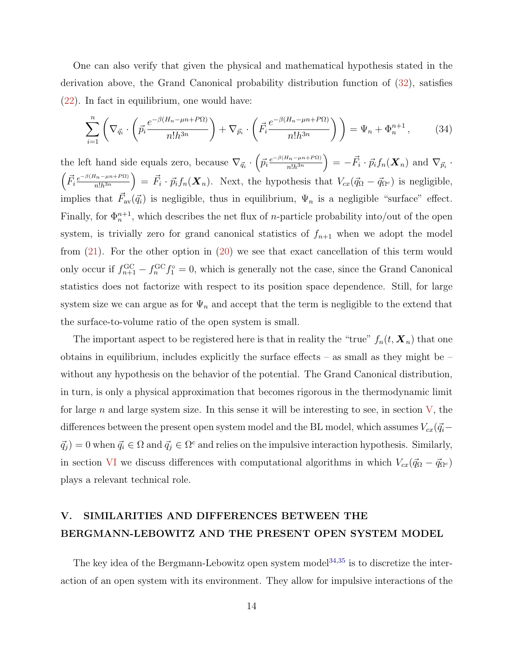One can also verify that given the physical and mathematical hypothesis stated in the derivation above, the Grand Canonical probability distribution function of [\(32\)](#page-12-0), satisfies [\(22\)](#page-10-0). In fact in equilibrium, one would have:

$$
\sum_{i=1}^{n} \left( \nabla_{\vec{q}_i} \cdot \left( \vec{p}_i \frac{e^{-\beta(H_n - \mu n + P\Omega)}}{n! h^{3n}} \right) + \nabla_{\vec{p}_i} \cdot \left( \vec{F}_i \frac{e^{-\beta(H_n - \mu n + P\Omega)}}{n! h^{3n}} \right) \right) = \Psi_n + \Phi_n^{n+1},\tag{34}
$$

the left hand side equals zero, because  $\nabla_{\vec{q}_i} \cdot \left( \vec{p}_i \frac{e^{-\beta(H_n - \mu_n + P\Omega)}}{n! h^{3n}} \right)$  $\left( \frac{I_{n} - \mu n + P\Omega)}{n!h^{3n}} \right) = -\vec{F}_i \cdot \vec{p}_i f_n(\bm{X}_n) \text{ and } \nabla_{\vec{p}_i} \cdot \vec{F}_n$  $\int \vec{F}_i \frac{e^{-\beta(H_n-\mu n+P\Omega)}}{n!h^{3n}}$  $\left(\frac{H_n-\mu n+P\Omega}{n!h^{3n}}\right) = \vec{F}_i \cdot \vec{p}_i f_n(\boldsymbol{X}_n)$ . Next, the hypothesis that  $V_{cx}(\vec{q}_\Omega - \vec{q}_{\Omega^c})$  is negligible, implies that  $\vec{F}_{av}(\vec{q}_i)$  is negligible, thus in equilibrium,  $\Psi_n$  is a negligible "surface" effect. Finally, for  $\Phi_n^{n+1}$ , which describes the net flux of *n*-particle probability into/out of the open system, is trivially zero for grand canonical statistics of  $f_{n+1}$  when we adopt the model from [\(21\)](#page-10-1). For the other option in [\(20\)](#page-10-2) we see that exact cancellation of this term would only occur if  $f_{n+1}^{\text{GC}} - f_n^{\text{GC}} f_1^{\circ} = 0$ , which is generally not the case, since the Grand Canonical statistics does not factorize with respect to its position space dependence. Still, for large system size we can argue as for  $\Psi_n$  and accept that the term is negligible to the extend that the surface-to-volume ratio of the open system is small.

The important aspect to be registered here is that in reality the "true"  $f_n(t, \mathbf{X}_n)$  that one obtains in equilibrium, includes explicitly the surface effects – as small as they might be – without any hypothesis on the behavior of the potential. The Grand Canonical distribution, in turn, is only a physical approximation that becomes rigorous in the thermodynamic limit for large  $n$  and large system size. In this sense it will be interesting to see, in section  $V$ , the differences between the present open system model and the BL model, which assumes  $V_{cx}(\vec{q}_i \vec{q}_j$  = 0 when  $\vec{q}_i \in \Omega$  and  $\vec{q}_j \in \Omega^c$  and relies on the impulsive interaction hypothesis. Similarly, in section [VI](#page-15-0) we discuss differences with computational algorithms in which  $V_{cx}(\vec{q}_\Omega - \vec{q}_{\Omega^c})$ plays a relevant technical role.

# <span id="page-13-0"></span>V. SIMILARITIES AND DIFFERENCES BETWEEN THE BERGMANN-LEBOWITZ AND THE PRESENT OPEN SYSTEM MODEL

The key idea of the Bergmann-Lebowitz open system  $\text{model}^{34,35}$  $\text{model}^{34,35}$  $\text{model}^{34,35}$  $\text{model}^{34,35}$  is to discretize the interaction of an open system with its environment. They allow for impulsive interactions of the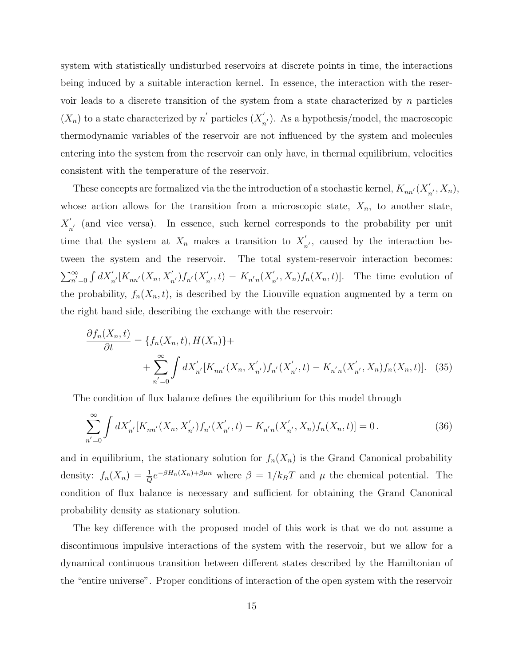system with statistically undisturbed reservoirs at discrete points in time, the interactions being induced by a suitable interaction kernel. In essence, the interaction with the reservoir leads to a discrete transition of the system from a state characterized by  $n$  particles  $(X_n)$  to a state characterized by n' particles  $(X'_n)$  $n'_{n'}$ ). As a hypothesis/model, the macroscopic thermodynamic variables of the reservoir are not influenced by the system and molecules entering into the system from the reservoir can only have, in thermal equilibrium, velocities consistent with the temperature of the reservoir.

These concepts are formalized via the the introduction of a stochastic kernel,  $K_{nn'}(X_{n}^{\prime})$  $n', X_n),$ whose action allows for the transition from a microscopic state,  $X_n$ , to another state,  $X_{\cdot}^{'}$  $n'_{n'}$  (and vice versa). In essence, such kernel corresponds to the probability per unit time that the system at  $X_n$  makes a transition to  $X'_n$  $n'$ , caused by the interaction between the system and the reservoir. The total system-reservoir interaction becomes:  $\sum_{n'=0}^{\infty}\int dX_{n'}' [K_{nn'}(X_n,X_{n'}')f_{n'}(X_n')]$  $S'_{n'}$ , t) –  $K_{n'n}(X'_n)$  $U'_n, X_n$ ,  $f_n(X_n, t)$ . The time evolution of the probability,  $f_n(X_n,t)$ , is described by the Liouville equation augmented by a term on the right hand side, describing the exchange with the reservoir:

$$
\frac{\partial f_n(X_n, t)}{\partial t} = \{f_n(X_n, t), H(X_n)\} + \sum_{n'=0}^{\infty} \int dX'_{n'}[K_{nn'}(X_n, X'_{n'}) f_{n'}(X'_{n'}, t) - K_{n'n}(X'_{n'}, X_n) f_n(X_n, t)]. \tag{35}
$$

The condition of flux balance defines the equilibrium for this model through

$$
\sum_{n'=0}^{\infty} \int dX'_{n'}[K_{nn'}(X_n, X'_{n'}) f_{n'}(X'_{n'}, t) - K_{n'n}(X'_{n'}, X_n) f_n(X_n, t)] = 0.
$$
 (36)

and in equilibrium, the stationary solution for  $f_n(X_n)$  is the Grand Canonical probability density:  $f_n(X_n) = \frac{1}{Q}e^{-\beta H_n(X_n) + \beta \mu n}$  where  $\beta = 1/k_B T$  and  $\mu$  the chemical potential. The condition of flux balance is necessary and sufficient for obtaining the Grand Canonical probability density as stationary solution.

The key difference with the proposed model of this work is that we do not assume a discontinuous impulsive interactions of the system with the reservoir, but we allow for a dynamical continuous transition between different states described by the Hamiltonian of the "entire universe". Proper conditions of interaction of the open system with the reservoir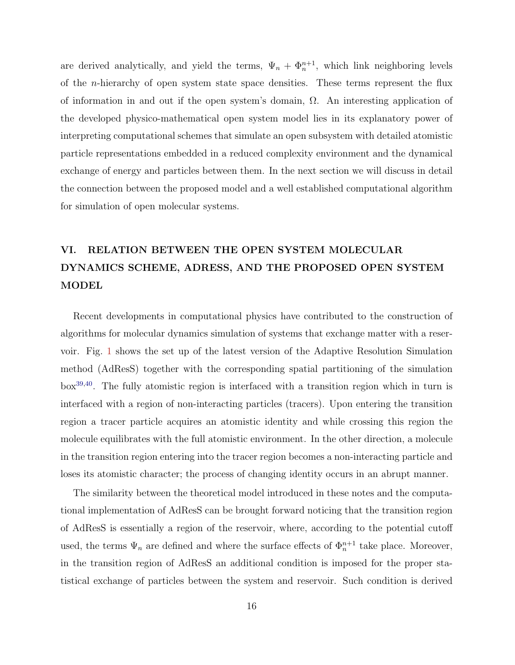are derived analytically, and yield the terms,  $\Psi_n + \Phi_n^{n+1}$ , which link neighboring levels of the n-hierarchy of open system state space densities. These terms represent the flux of information in and out if the open system's domain,  $\Omega$ . An interesting application of the developed physico-mathematical open system model lies in its explanatory power of interpreting computational schemes that simulate an open subsystem with detailed atomistic particle representations embedded in a reduced complexity environment and the dynamical exchange of energy and particles between them. In the next section we will discuss in detail the connection between the proposed model and a well established computational algorithm for simulation of open molecular systems.

# <span id="page-15-0"></span>VI. RELATION BETWEEN THE OPEN SYSTEM MOLECULAR DYNAMICS SCHEME, ADRESS, AND THE PROPOSED OPEN SYSTEM MODEL

Recent developments in computational physics have contributed to the construction of algorithms for molecular dynamics simulation of systems that exchange matter with a reservoir. Fig. [1](#page-16-0) shows the set up of the latest version of the Adaptive Resolution Simulation method (AdResS) together with the corresponding spatial partitioning of the simulation box[39](#page-21-6)[,40](#page-21-7). The fully atomistic region is interfaced with a transition region which in turn is interfaced with a region of non-interacting particles (tracers). Upon entering the transition region a tracer particle acquires an atomistic identity and while crossing this region the molecule equilibrates with the full atomistic environment. In the other direction, a molecule in the transition region entering into the tracer region becomes a non-interacting particle and loses its atomistic character; the process of changing identity occurs in an abrupt manner.

The similarity between the theoretical model introduced in these notes and the computational implementation of AdResS can be brought forward noticing that the transition region of AdResS is essentially a region of the reservoir, where, according to the potential cutoff used, the terms  $\Psi_n$  are defined and where the surface effects of  $\Phi_n^{n+1}$  take place. Moreover, in the transition region of AdResS an additional condition is imposed for the proper statistical exchange of particles between the system and reservoir. Such condition is derived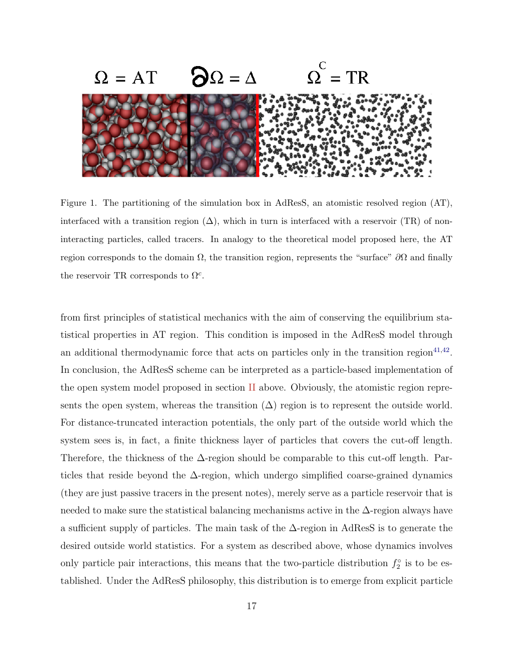

Figure 1. The partitioning of the simulation box in AdResS, an atomistic resolved region (AT), interfaced with a transition region  $(\Delta)$ , which in turn is interfaced with a reservoir (TR) of noninteracting particles, called tracers. In analogy to the theoretical model proposed here, the AT region corresponds to the domain  $\Omega$ , the transition region, represents the "surface"  $\partial\Omega$  and finally the reservoir TR corresponds to  $\Omega^c$ .

<span id="page-16-0"></span>from first principles of statistical mechanics with the aim of conserving the equilibrium statistical properties in AT region. This condition is imposed in the AdResS model through an additional thermodynamic force that acts on particles only in the transition region<sup> $41,42$  $41,42$ </sup>. In conclusion, the AdResS scheme can be interpreted as a particle-based implementation of the open system model proposed in section [II](#page-3-1) above. Obviously, the atomistic region represents the open system, whereas the transition  $(\Delta)$  region is to represent the outside world. For distance-truncated interaction potentials, the only part of the outside world which the system sees is, in fact, a finite thickness layer of particles that covers the cut-off length. Therefore, the thickness of the ∆-region should be comparable to this cut-off length. Particles that reside beyond the  $\Delta$ -region, which undergo simplified coarse-grained dynamics (they are just passive tracers in the present notes), merely serve as a particle reservoir that is needed to make sure the statistical balancing mechanisms active in the ∆-region always have a sufficient supply of particles. The main task of the  $\Delta$ -region in AdResS is to generate the desired outside world statistics. For a system as described above, whose dynamics involves only particle pair interactions, this means that the two-particle distribution  $f_2^{\circ}$  is to be established. Under the AdResS philosophy, this distribution is to emerge from explicit particle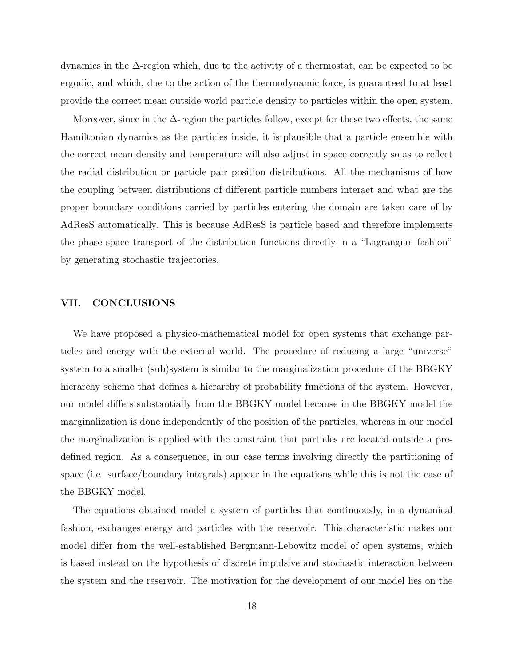dynamics in the ∆-region which, due to the activity of a thermostat, can be expected to be ergodic, and which, due to the action of the thermodynamic force, is guaranteed to at least provide the correct mean outside world particle density to particles within the open system.

Moreover, since in the  $\Delta$ -region the particles follow, except for these two effects, the same Hamiltonian dynamics as the particles inside, it is plausible that a particle ensemble with the correct mean density and temperature will also adjust in space correctly so as to reflect the radial distribution or particle pair position distributions. All the mechanisms of how the coupling between distributions of different particle numbers interact and what are the proper boundary conditions carried by particles entering the domain are taken care of by AdResS automatically. This is because AdResS is particle based and therefore implements the phase space transport of the distribution functions directly in a "Lagrangian fashion" by generating stochastic trajectories.

#### VII. CONCLUSIONS

We have proposed a physico-mathematical model for open systems that exchange particles and energy with the external world. The procedure of reducing a large "universe" system to a smaller (sub)system is similar to the marginalization procedure of the BBGKY hierarchy scheme that defines a hierarchy of probability functions of the system. However, our model differs substantially from the BBGKY model because in the BBGKY model the marginalization is done independently of the position of the particles, whereas in our model the marginalization is applied with the constraint that particles are located outside a predefined region. As a consequence, in our case terms involving directly the partitioning of space (i.e. surface/boundary integrals) appear in the equations while this is not the case of the BBGKY model.

The equations obtained model a system of particles that continuously, in a dynamical fashion, exchanges energy and particles with the reservoir. This characteristic makes our model differ from the well-established Bergmann-Lebowitz model of open systems, which is based instead on the hypothesis of discrete impulsive and stochastic interaction between the system and the reservoir. The motivation for the development of our model lies on the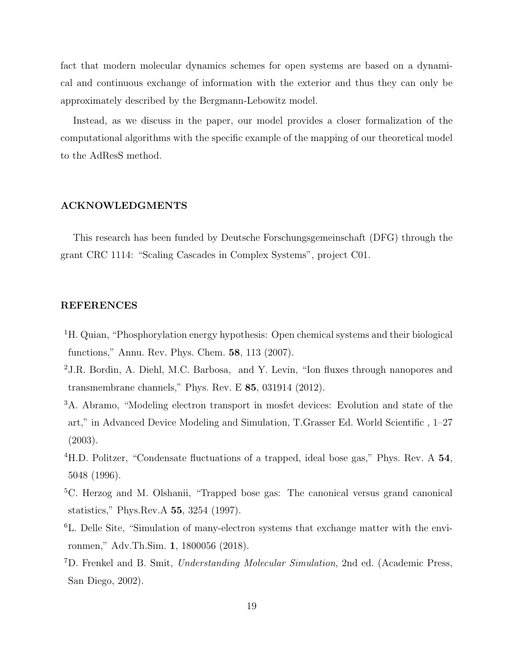fact that modern molecular dynamics schemes for open systems are based on a dynamical and continuous exchange of information with the exterior and thus they can only be approximately described by the Bergmann-Lebowitz model.

Instead, as we discuss in the paper, our model provides a closer formalization of the computational algorithms with the specific example of the mapping of our theoretical model to the AdResS method.

#### ACKNOWLEDGMENTS

This research has been funded by Deutsche Forschungsgemeinschaft (DFG) through the grant CRC 1114: "Scaling Cascades in Complex Systems", project C01.

## REFERENCES

- <span id="page-18-0"></span><sup>1</sup>H. Quian, "Phosphorylation energy hypothesis: Open chemical systems and their biological functions," Annu. Rev. Phys. Chem. 58, 113 (2007).
- <sup>2</sup>J.R. Bordin, A. Diehl, M.C. Barbosa, and Y. Levin, "Ion fluxes through nanopores and transmembrane channels," Phys. Rev. E 85, 031914 (2012).
- <sup>3</sup>A. Abramo, "Modeling electron transport in mosfet devices: Evolution and state of the art," in Advanced Device Modeling and Simulation, T.Grasser Ed. World Scientific , 1–27 (2003).
- <sup>4</sup>H.D. Politzer, "Condensate fluctuations of a trapped, ideal bose gas," Phys. Rev. A 54, 5048 (1996).
- <sup>5</sup>C. Herzog and M. Olshanii, "Trapped bose gas: The canonical versus grand canonical statistics," Phys.Rev.A 55, 3254 (1997).
- <span id="page-18-1"></span><sup>6</sup>L. Delle Site, "Simulation of many-electron systems that exchange matter with the environmen," Adv.Th.Sim. 1, 1800056 (2018).
- <span id="page-18-2"></span><sup>7</sup>D. Frenkel and B. Smit, *Understanding Molecular Simulation*, 2nd ed. (Academic Press, San Diego, 2002).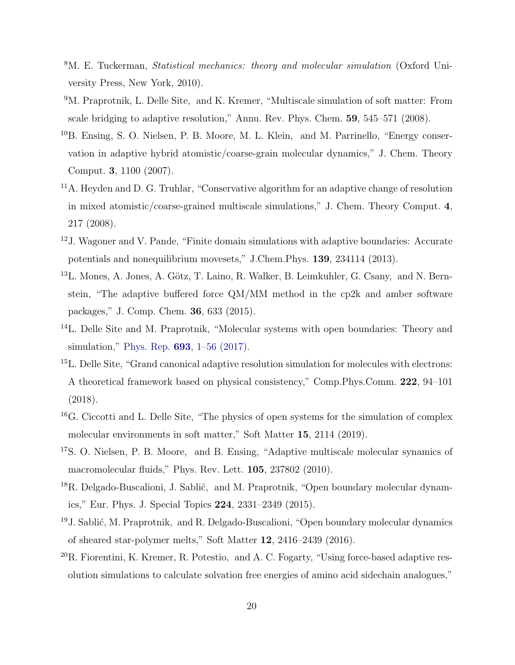- <span id="page-19-0"></span><sup>8</sup>M. E. Tuckerman, *Statistical mechanics: theory and molecular simulation* (Oxford University Press, New York, 2010).
- <span id="page-19-1"></span><sup>9</sup>M. Praprotnik, L. Delle Site, and K. Kremer, "Multiscale simulation of soft matter: From scale bridging to adaptive resolution," Annu. Rev. Phys. Chem. 59, 545–571 (2008).
- <sup>10</sup>B. Ensing, S. O. Nielsen, P. B. Moore, M. L. Klein, and M. Parrinello, "Energy conservation in adaptive hybrid atomistic/coarse-grain molecular dynamics," J. Chem. Theory Comput. 3, 1100 (2007).
- <sup>11</sup>A. Heyden and D. G. Truhlar, "Conservative algorithm for an adaptive change of resolution in mixed atomistic/coarse-grained multiscale simulations," J. Chem. Theory Comput. 4, 217 (2008).
- <sup>12</sup>J. Wagoner and V. Pande, "Finite domain simulations with adaptive boundaries: Accurate potentials and nonequilibrium movesets," J.Chem.Phys. 139, 234114 (2013).
- <sup>13</sup>L. Mones, A. Jones, A. Götz, T. Laino, R. Walker, B. Leimkuhler, G. Csany, and N. Bernstein, "The adaptive buffered force QM/MM method in the cp2k and amber software packages," J. Comp. Chem. 36, 633 (2015).
- <sup>14</sup>L. Delle Site and M. Praprotnik, "Molecular systems with open boundaries: Theory and simulation," Phys. Rep. 693[, 1–56 \(2017\).](http://dx.doi.org/ 10.1016/j.physrep.2017.05.007)
- <sup>15</sup>L. Delle Site, "Grand canonical adaptive resolution simulation for molecules with electrons: A theoretical framework based on physical consistency," Comp.Phys.Comm. 222, 94–101 (2018).
- <span id="page-19-2"></span><sup>16</sup>G. Ciccotti and L. Delle Site, "The physics of open systems for the simulation of complex molecular environments in soft matter," Soft Matter 15, 2114 (2019).
- <span id="page-19-3"></span><sup>17</sup>S. O. Nielsen, P. B. Moore, and B. Ensing, "Adaptive multiscale molecular synamics of macromolecular fluids," Phys. Rev. Lett. 105, 237802 (2010).
- $^{18}R$ . Delgado-Buscalioni, J. Sablić, and M. Praprotnik, "Open boundary molecular dynamics," Eur. Phys. J. Special Topics 224, 2331–2349 (2015).
- <sup>19</sup>J. Sablić, M. Praprotnik, and R. Delgado-Buscalioni, "Open boundary molecular dynamics of sheared star-polymer melts," Soft Matter 12, 2416–2439 (2016).
- $^{20}R$ . Fiorentini, K. Kremer, R. Potestio, and A. C. Fogarty, "Using force-based adaptive resolution simulations to calculate solvation free energies of amino acid sidechain analogues,"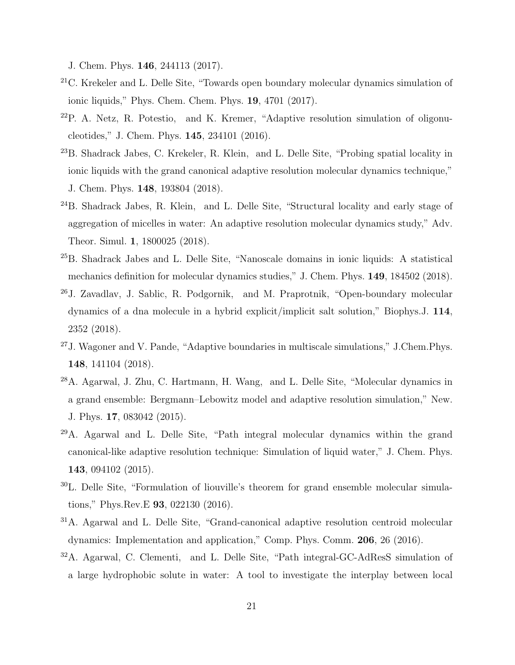J. Chem. Phys. 146, 244113 (2017).

- <sup>21</sup>C. Krekeler and L. Delle Site, "Towards open boundary molecular dynamics simulation of ionic liquids," Phys. Chem. Chem. Phys. 19, 4701 (2017).
- <sup>22</sup>P. A. Netz, R. Potestio, and K. Kremer, "Adaptive resolution simulation of oligonucleotides," J. Chem. Phys. 145, 234101 (2016).
- <sup>23</sup>B. Shadrack Jabes, C. Krekeler, R. Klein, and L. Delle Site, "Probing spatial locality in ionic liquids with the grand canonical adaptive resolution molecular dynamics technique," J. Chem. Phys. 148, 193804 (2018).
- <sup>24</sup>B. Shadrack Jabes, R. Klein, and L. Delle Site, "Structural locality and early stage of aggregation of micelles in water: An adaptive resolution molecular dynamics study," Adv. Theor. Simul. 1, 1800025 (2018).
- <sup>25</sup>B. Shadrack Jabes and L. Delle Site, "Nanoscale domains in ionic liquids: A statistical mechanics definition for molecular dynamics studies," J. Chem. Phys. 149, 184502 (2018).
- <sup>26</sup>J. Zavadlav, J. Sablic, R. Podgornik, and M. Praprotnik, "Open-boundary molecular dynamics of a dna molecule in a hybrid explicit/implicit salt solution," Biophys.J. 114, 2352 (2018).
- <span id="page-20-0"></span><sup>27</sup>J. Wagoner and V. Pande, "Adaptive boundaries in multiscale simulations," J.Chem.Phys. 148, 141104 (2018).
- <span id="page-20-1"></span><sup>28</sup>A. Agarwal, J. Zhu, C. Hartmann, H. Wang, and L. Delle Site, "Molecular dynamics in a grand ensemble: Bergmann–Lebowitz model and adaptive resolution simulation," New. J. Phys. 17, 083042 (2015).
- <sup>29</sup>A. Agarwal and L. Delle Site, "Path integral molecular dynamics within the grand canonical-like adaptive resolution technique: Simulation of liquid water," J. Chem. Phys. 143, 094102 (2015).
- <sup>30</sup>L. Delle Site, "Formulation of liouville's theorem for grand ensemble molecular simulations," Phys.Rev.E 93, 022130 (2016).
- <sup>31</sup>A. Agarwal and L. Delle Site, "Grand-canonical adaptive resolution centroid molecular dynamics: Implementation and application," Comp. Phys. Comm. 206, 26 (2016).
- <span id="page-20-2"></span><sup>32</sup>A. Agarwal, C. Clementi, and L. Delle Site, "Path integral-GC-AdResS simulation of a large hydrophobic solute in water: A tool to investigate the interplay between local